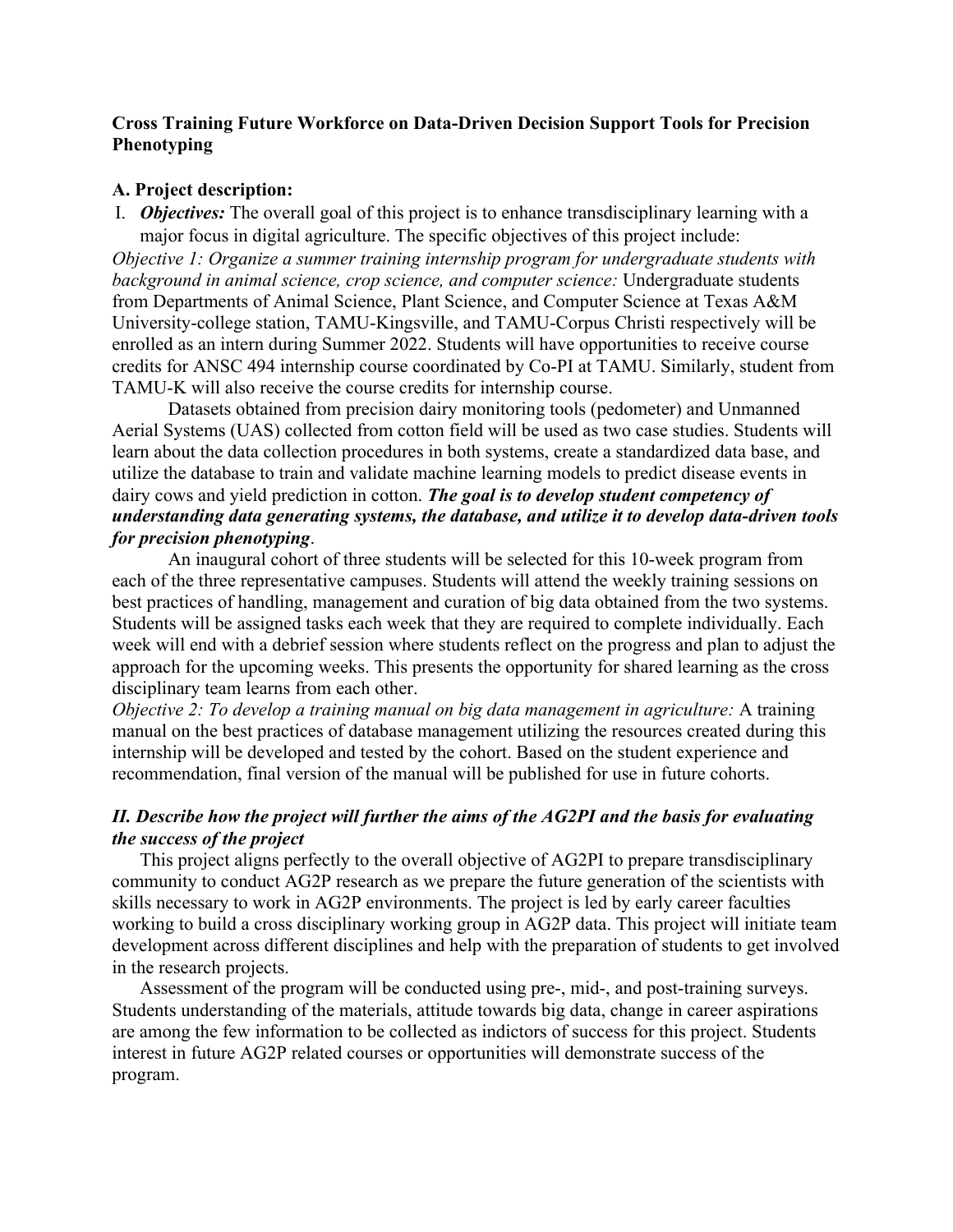## **Cross Training Future Workforce on Data-Driven Decision Support Tools for Precision Phenotyping**

#### **A. Project description:**

I. *Objectives:* The overall goal of this project is to enhance transdisciplinary learning with a major focus in digital agriculture. The specific objectives of this project include:

*Objective 1: Organize a summer training internship program for undergraduate students with background in animal science, crop science, and computer science:* Undergraduate students from Departments of Animal Science, Plant Science, and Computer Science at Texas A&M University-college station, TAMU-Kingsville, and TAMU-Corpus Christi respectively will be enrolled as an intern during Summer 2022. Students will have opportunities to receive course credits for ANSC 494 internship course coordinated by Co-PI at TAMU. Similarly, student from TAMU-K will also receive the course credits for internship course.

Datasets obtained from precision dairy monitoring tools (pedometer) and Unmanned Aerial Systems (UAS) collected from cotton field will be used as two case studies. Students will learn about the data collection procedures in both systems, create a standardized data base, and utilize the database to train and validate machine learning models to predict disease events in dairy cows and yield prediction in cotton. *The goal is to develop student competency of understanding data generating systems, the database, and utilize it to develop data-driven tools for precision phenotyping*.

An inaugural cohort of three students will be selected for this 10-week program from each of the three representative campuses. Students will attend the weekly training sessions on best practices of handling, management and curation of big data obtained from the two systems. Students will be assigned tasks each week that they are required to complete individually. Each week will end with a debrief session where students reflect on the progress and plan to adjust the approach for the upcoming weeks. This presents the opportunity for shared learning as the cross disciplinary team learns from each other.

*Objective 2: To develop a training manual on big data management in agriculture:* A training manual on the best practices of database management utilizing the resources created during this internship will be developed and tested by the cohort. Based on the student experience and recommendation, final version of the manual will be published for use in future cohorts.

# *II. Describe how the project will further the aims of the AG2PI and the basis for evaluating the success of the project*

This project aligns perfectly to the overall objective of AG2PI to prepare transdisciplinary community to conduct AG2P research as we prepare the future generation of the scientists with skills necessary to work in AG2P environments. The project is led by early career faculties working to build a cross disciplinary working group in AG2P data. This project will initiate team development across different disciplines and help with the preparation of students to get involved in the research projects.

Assessment of the program will be conducted using pre-, mid-, and post-training surveys. Students understanding of the materials, attitude towards big data, change in career aspirations are among the few information to be collected as indictors of success for this project. Students interest in future AG2P related courses or opportunities will demonstrate success of the program.